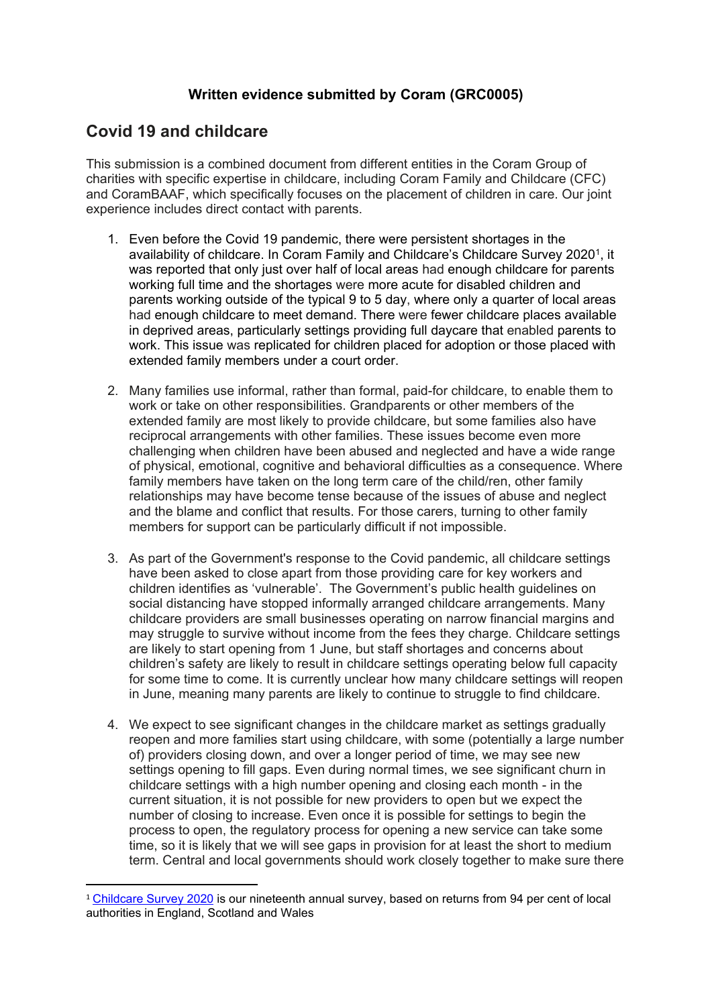## **Written evidence submitted by Coram (GRC0005)**

## **Covid 19 and childcare**

This submission is a combined document from different entities in the Coram Group of charities with specific expertise in childcare, including Coram Family and Childcare (CFC) and CoramBAAF, which specifically focuses on the placement of children in care. Our joint experience includes direct contact with parents.

- 1. Even before the Covid 19 pandemic, there were persistent shortages in the availability of childcare. In Coram Family and Childcare's Childcare Survey 2020<sup>1</sup>, it was reported that only just over half of local areas had enough childcare for parents working full time and the shortages were more acute for disabled children and parents working outside of the typical 9 to 5 day, where only a quarter of local areas had enough childcare to meet demand. There were fewer childcare places available in deprived areas, particularly settings providing full daycare that enabled parents to work. This issue was replicated for children placed for adoption or those placed with extended family members under a court order.
- 2. Many families use informal, rather than formal, paid-for childcare, to enable them to work or take on other responsibilities. Grandparents or other members of the extended family are most likely to provide childcare, but some families also have reciprocal arrangements with other families. These issues become even more challenging when children have been abused and neglected and have a wide range of physical, emotional, cognitive and behavioral difficulties as a consequence. Where family members have taken on the long term care of the child/ren, other family relationships may have become tense because of the issues of abuse and neglect and the blame and conflict that results. For those carers, turning to other family members for support can be particularly difficult if not impossible.
- 3. As part of the Government's response to the Covid pandemic, all childcare settings have been asked to close apart from those providing care for key workers and children identifies as 'vulnerable'. The Government's public health guidelines on social distancing have stopped informally arranged childcare arrangements. Many childcare providers are small businesses operating on narrow financial margins and may struggle to survive without income from the fees they charge. Childcare settings are likely to start opening from 1 June, but staff shortages and concerns about children's safety are likely to result in childcare settings operating below full capacity for some time to come. It is currently unclear how many childcare settings will reopen in June, meaning many parents are likely to continue to struggle to find childcare.
- 4. We expect to see significant changes in the childcare market as settings gradually reopen and more families start using childcare, with some (potentially a large number of) providers closing down, and over a longer period of time, we may see new settings opening to fill gaps. Even during normal times, we see significant churn in childcare settings with a high number opening and closing each month - in the current situation, it is not possible for new providers to open but we expect the number of closing to increase. Even once it is possible for settings to begin the process to open, the regulatory process for opening a new service can take some time, so it is likely that we will see gaps in provision for at least the short to medium term. Central and local governments should work closely together to make sure there

<sup>1</sup> [Childcare](https://www.familyandchildcaretrust.org/childcare-survey-2019) [Survey](https://www.familyandchildcaretrust.org/childcare-survey-2019) [2020](https://www.familyandchildcaretrust.org/childcare-survey-2019) is our nineteenth annual survey, based on returns from 94 per cent of local authorities in England, Scotland and Wales